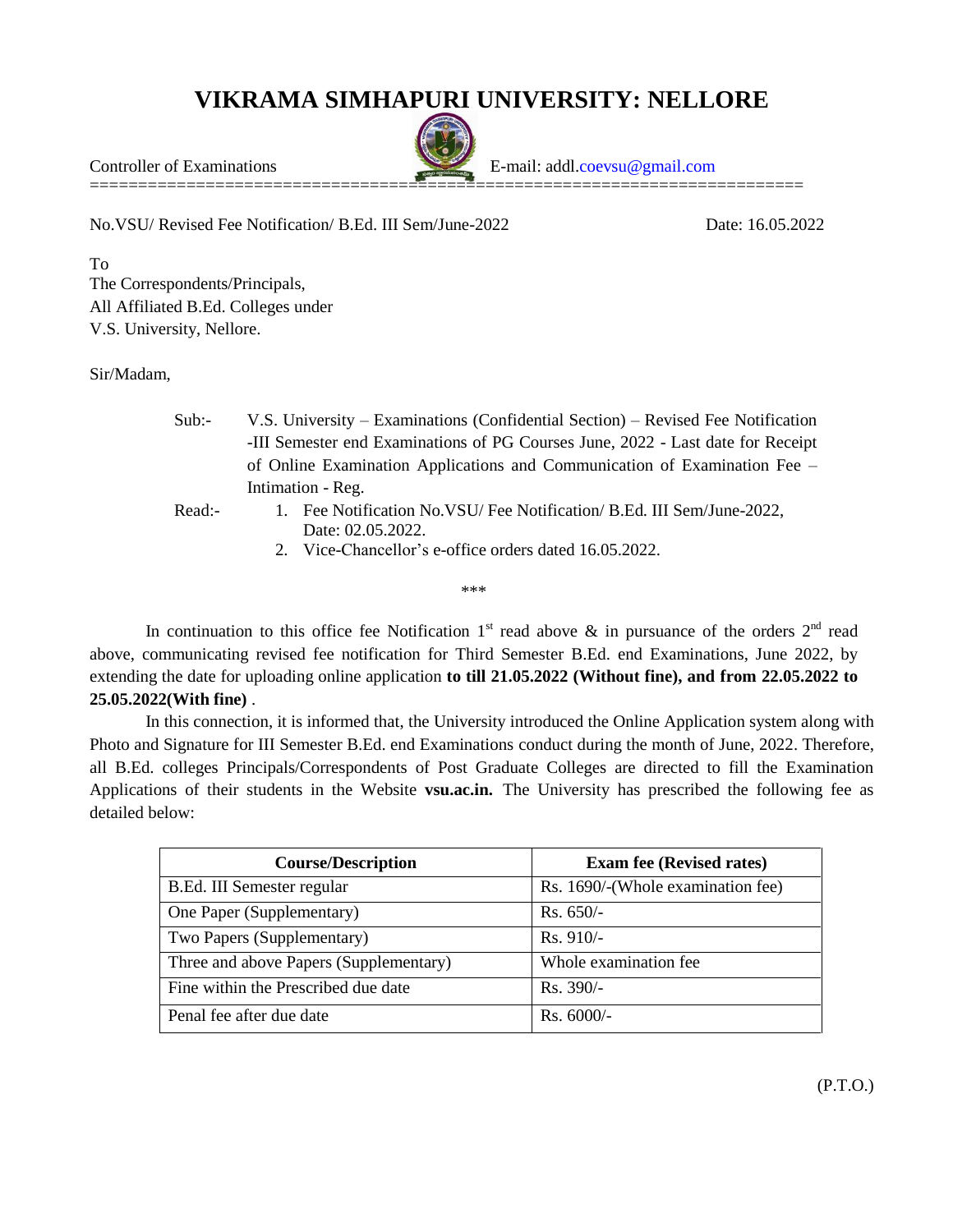## **VIKRAMA SIMHAPURI UNIVERSITY: NELLORE**

==========================================================================

Controller of Examinations E-mail: addl[.coevsu@gmail.com](mailto:coevsu@gmail.com)

No.VSU/ Revised Fee Notification/ B.Ed. III Sem/June-2022 Date: 16.05.2022

To The Correspondents/Principals, All Affiliated B.Ed. Colleges under V.S. University, Nellore.

Sir/Madam,

- Sub:- V.S. University Examinations (Confidential Section) Revised Fee Notification -III Semester end Examinations of PG Courses June, 2022 - Last date for Receipt of Online Examination Applications and Communication of Examination Fee – Intimation - Reg. Read:- 1. Fee Notification No.VSU/ Fee Notification/ B.Ed. III Sem/June-2022,
	- Date: 02.05.2022.
	- 2. Vice-Chancellor's e-office orders dated 16.05.2022.

\*\*\*

In continuation to this office fee Notification  $1<sup>st</sup>$  read above & in pursuance of the orders  $2<sup>nd</sup>$  read above, communicating revised fee notification for Third Semester B.Ed. end Examinations, June 2022, by extending the date for uploading online application **to till 21.05.2022 (Without fine), and from 22.05.2022 to 25.05.2022(With fine)** .

In this connection, it is informed that, the University introduced the Online Application system along with Photo and Signature for III Semester B.Ed. end Examinations conduct during the month of June, 2022. Therefore, all B.Ed. colleges Principals/Correspondents of Post Graduate Colleges are directed to fill the Examination Applications of their students in the Website **vsu.ac.in.** The University has prescribed the following fee as detailed below:

| <b>Course/Description</b>              | <b>Exam fee (Revised rates)</b>   |
|----------------------------------------|-----------------------------------|
| B.Ed. III Semester regular             | Rs. 1690/-(Whole examination fee) |
| One Paper (Supplementary)              | $Rs. 650/-$                       |
| Two Papers (Supplementary)             | $Rs. 910/-$                       |
| Three and above Papers (Supplementary) | Whole examination fee             |
| Fine within the Prescribed due date    | $Rs. 390/-$                       |
| Penal fee after due date               | $Rs. 6000/-$                      |